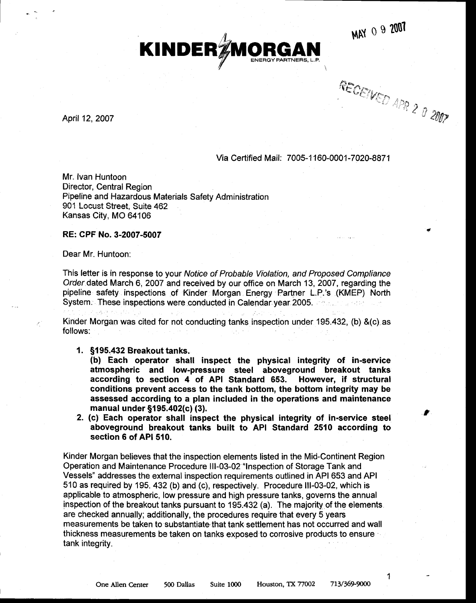MAY 0 9 2007



 $R$ ECEIVER . S GIVED APR 2  $\partial$  2007

April 12, 2007

## Via Certified Mail: 7 005-1 1 60-000 1 -7 020-887 1

Mr. lvan Huntoon Director, Central Region Pipeline and Hazardous Materials Safety Administration 901 Locust Street, Suite 462 Kansas City, MO 64106

## RE: CPF No.3-2007-5007

Dear Mr. Huntoon:

This letter is in response to your Notice of Probable Violation, and Proposed Compliance Order dated March 6, 2007 and received by our office on March 13,2007, regarding the pipeline safety inspections of Kinder Morgan Energy Partner L.P.'s (KMEP) North System. These inspections were conducted in Calendar year.2005. . . . . . . '.

Kinder Morgan was cited for not conducting tanks inspection under 195.432, (b) &(c) as follows:

1. §195.432 Breakout tanks.

(b) Each operator shall inspect the physical integrity of in-service atmospheric and low-pressure steel aboveground breakout tanks according to section 4 of API Standard 653. However, if structural conditions prevent access to the tank boftom, the bottom integrity may be assessed according to a plan included in the operations and maintenance manual under §195.402(c) (3).

2. (c) Each operator shall inspect the physical integrity of in-service steel aboveground breakout tanks built to API Standard 2510 according to section 6 of API 510.

Kinder Morgan believes that the inspection elements listed in the Mid-Continent Region Operation and Maintenance Procedure lll-03-02 "lnspection of Storage Tank and Vessels" addresses the external inspection requirernents outlined in API 653 and API 510 as required by 195.432 (b) and (c), respectively. Procedure lll-03-02, which is applicable to atmospheric, low pressure and high pressure tanks, governs the annual inspection of the breakout tanks pursuant to 195.432 (a). The majority of the elements. are checked annually; additionally, the procedures require that every 5 years measurements be taken to substantiate that tank settlement has not occurred and wall thickness measurements be taken on tanks exposed to corrosive products to ensure ' tank integrity.

1

j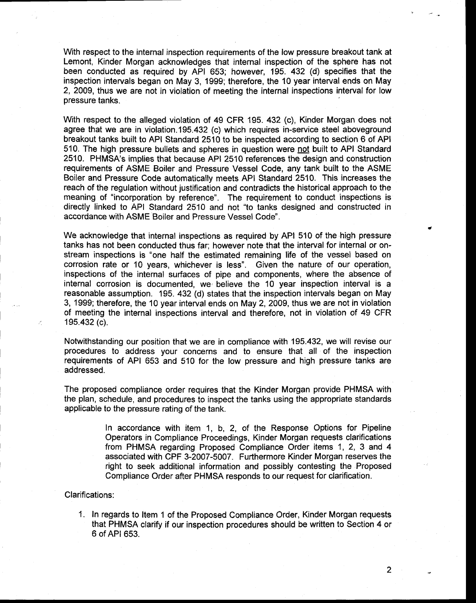With respect to the internal inspection requirements of the low pressure breakout tank at Lemont, Kinder Morgan acknowledges that internal inspection of the sphere has not been conducted as required by API 653; however, 195. 432 (d) specifies that the inspection intervals began on May 3, 1999; therefore, the 10 year interval ends on May 2, 2009, thus we are not in violation of meeting the internal inspections interval for low pressure tanks.

With respect to the alleged violation of 49 CFR 195. 432 (c), Kinder Morgan does not agree that we are in violation.195.432 (c) which requires in-service steel aboveground breakout tanks built to API Standard 2510 to be inspected according to section 6 of API 510. The high pressure bullets and spheres in question were not built to API Standard 2510. PHMSA's implies that because API 2510 references the design and construction requirements of ASME Boiler and Pressure Vessel Code, any tank built to the ASME Boiler and Pressure Code automatically meets API Standard 2510. This increases the reach of the regulation without justification and contradicts the historical approach to the meaning of "incorporation by reference". The requirement to conduct inspections is directly iinked to API Standard 2510 and not "to tanks designed and constructed in accordance with ASME Boiler and Pressure Vessel Code".

We acknowledge that internal inspections as required by API 510 of the high pressure tanks has not been conducted thus far; however note that the interval for internal or onstream inspections is "one half the estimated remaining life of the vessel based on corrosion rate or 10 years, whichever is less". Given the nature of our operation, inspections of the internal surfaces of pipe and components, where the absence of internal corrosion is documented, we'believe the 10 year inspection interval is a reasonable assumption. 195. 432 (d) states that the inspection intervals began on May 3, 1999; therefore, the 10 year interval ends on May 2,2009, thus we are not in violation of meeting the internal inspections interval and therefore, not in violation of 49 CFR 195.432 (c).

Notwithstanding our position that we are in compliance with 195.432, we will revise our procedures to address your concerns and to ensure that all of the inspection requirements of API 653 and 510 for the low pressure and high pressure tanks are addressed.

The proposed compliance order requires that the Kinder Morgan provide PHMSA with the plan, schedule, and procedures to inspect the tanks using the appropriate standards applicable to the pressure rating of the tank.

> In accordance with item 1, b, 2, of the Response Options for Pipeline Operators in Compliance Proceedings, Kinder Morgan requests clarifications from PHMSA regarding Proposed Compliance Order items 1, 2, 3 and 4 associated with CPF 3-2007-5007. Furthermore Kinder Morgan reserves the right to seek additional information and possibly contesting the Proposed Compliance Order after PHMSA responds to our request for clarification.

## Clarifications:

1. In regards to ltem 1 of the Proposed Compliance Order, Kinder Morgan requests that PHMSA clarify if our inspection procedures should be written to Section 4 or 6 ofAPl 653.

 $2<sup>1</sup>$